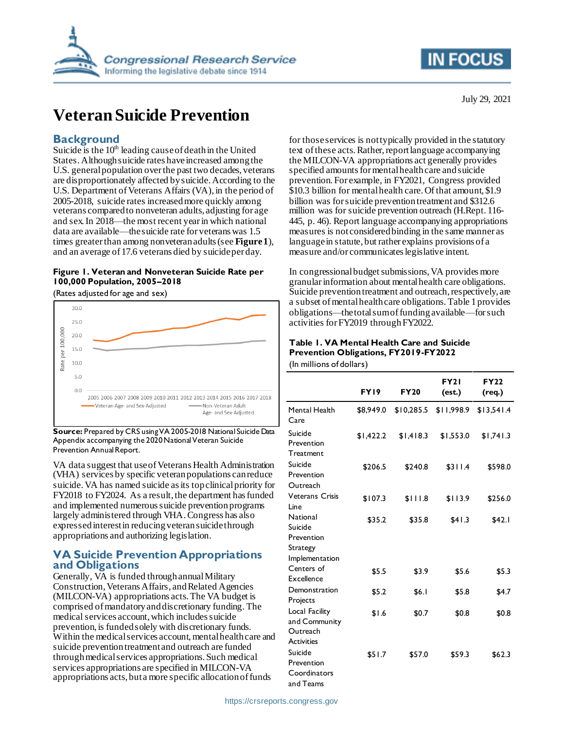

# **Veteran Suicide Prevention**

### **Background**

Suicide is the  $10<sup>th</sup>$  leading cause of death in the United States.Although suicide rates have increased among the U.S. general population over the past two decades, veterans are disproportionately affected by suicide. According to the U.S. Department of Veterans Affairs (VA), in the period of 2005-2018, suicide rates increased more quickly among veterans compared to nonveteran adults, adjusting for age and sex. In 2018—the most recent year in which national data are available—the suicide rate for veterans was 1.5 times greaterthan among nonveteran adults (see **[Figure 1](#page-0-0)**), and an average of 17.6 veterans died by suicide per day.

#### <span id="page-0-0"></span>**Figure 1. Veteran and Nonveteran Suicide Rate per 100,000 Population, 2005–2018**

(Rates adjusted for age and sex)



**Source:** Prepared by CRS using VA 2005-2018 National Suicide Data Appendix accompanying the 2020 National Veteran Suicide Prevention Annual Report.

VA data suggest that use of Veterans Health Administration (VHA) services by specific veteran populations can reduce suicide. VA has named suicide as its top clinical priority for FY2018 to FY2024. As a result, the department has funded and implemented numerous suicide prevention programs largely administered through VHA.Congress has also expressedinterest in reducing veteran suicide through appropriations and authorizing legislation.

## **VA Suicide Prevention Appropriations and Obligations**

Generally, VA is funded through annual Military Construction, Veterans Affairs, and Related Agencies (MILCON-VA) appropriations acts. The VA budget is comprised of mandatory and discretionary funding. The medical services account, which includes suicide prevention, is funded solely with discretionary funds. Within the medical services account, mental health care and suicide prevention treatment and outreach are funded through medical services appropriations. Such medical services appropriations are specified in MILCON-VA appropriations acts, but a more specific allocation of funds

for those services is not typically provided in the statutory text of these acts. Rather, report language accompanying the MILCON-VA appropriations act generally provides specified amounts for mental health care and suicide prevention. For example, in FY2021, Congress provided \$10.3 billion for mental health care. Of that amount, \$1.9 billion was for suicide prevention treatment and \$312.6 million was for suicide prevention outreach (H.Rept. 116- 445, p. 46). Report language accompanying appropriations measures is not considered binding in the same manner as language in statute, but rather explains provisions of a measure and/or communicateslegislative intent.

In congressional budget submissions, VA provides more granular information about mental health care obligations. Suicide prevention treatment and outreach, respectively, are a subset of mental health care obligation[s. Table 1](#page-0-1)provides obligations—the total sum of funding available—for such activities for FY2019 through FY2022.

#### <span id="page-0-1"></span>**Table 1. VA Mental Health Care and Suicide Prevention Obligations, FY2019-FY2022** (In millions of dollars)

|                                                                  | FY19      | <b>FY20</b> | <b>FY21</b><br>(est.) | <b>FY22</b><br>(req.) |
|------------------------------------------------------------------|-----------|-------------|-----------------------|-----------------------|
| Mental Health<br>Care                                            | \$8,949.0 | \$10,285.5  | \$11,998.9            | \$13,541.4            |
| Suicide<br>Prevention<br>Treatment                               | \$1,422.2 | \$1,418.3   | \$1,553.0             | \$1,741.3             |
| Suicide<br>Prevention<br>Outreach                                | \$206.5   | \$240.8     | \$311.4               | \$598.0               |
| <b>Veterans Crisis</b><br>Line                                   | \$107.3   | \$111.8     | \$113.9               | \$256.0               |
| National<br>Suicide                                              | \$35.2    | \$35.8      | \$41.3                | \$42.1                |
| Prevention<br>Strategy<br>Implementation                         |           |             |                       |                       |
| Centers of<br>Excellence                                         | \$5.5     | \$3.9       | \$5.6                 | \$5.3                 |
| Demonstration<br>Projects                                        | \$5.2     | \$6.1       | \$5.8                 | \$4.7                 |
| Local Facility<br>and Community<br>Outreach<br><b>Activities</b> | \$1.6     | \$0.7       | \$0.8                 | \$0.8                 |
| Suicide<br>Prevention<br>Coordinators<br>and Teams               | \$51.7    | \$57.0      | \$59.3                | \$62.3                |

July 29, 2021

**IN FOCUS**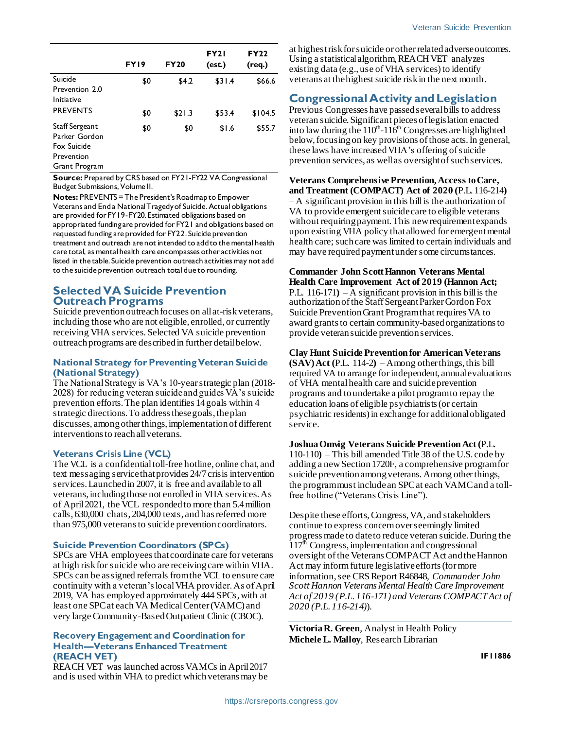|                                                                               | FY19 | <b>FY20</b> | <b>FY21</b><br>(est.) | <b>FY22</b><br>(req.) |
|-------------------------------------------------------------------------------|------|-------------|-----------------------|-----------------------|
| Suicide<br>Prevention 2.0                                                     | \$0  | \$4.2       | \$31.4                | \$66.6                |
| Initiative<br><b>PREVENTS</b>                                                 | \$0  | \$21.3      | \$53.4                | \$104.5               |
| Staff Sergeant<br>Parker Gordon<br>Fox Suicide<br>Prevention<br>Grant Program | \$0  | \$0         | \$1.6                 | \$55.7                |

**Source:** Prepared by CRS based on FY21-FY22 VA Congressional Budget Submissions, Volume II.

**Notes:** PREVENTS = The President's Roadmap to Empower Veterans and End a National Tragedy of Suicide. Actual obligations are provided for FY19-FY20. Estimated obligations based on appropriated funding are provided for FY21 and obligations based on requested funding are provided for FY22. Suicide prevention treatment and outreach are not intended to add to the mental health care total, as mental health care encompasses other activities not listed in the table. Suicide prevention outreach activities may not add to the suicide prevention outreach total due to rounding.

### **Selected VA Suicide Prevention Outreach Programs**

Suicide prevention outreach focuses on all at-risk veterans, including those who are not eligible, enrolled, or currently receiving VHA services. Selected VA suicide prevention outreach programs are described in further detail below.

#### **National Strategy for Preventing Veteran Suicide (National Strategy)**

The National Strategy is VA's 10-year strategic plan (2018- 2028) for reducing veteran suicide and guides VA's suicide prevention efforts. The plan identifies 14 goals within 4 strategic directions. To address these goals, the plan discusses, among other things, implementation of different interventions to reach all veterans.

#### **Veterans Crisis Line (VCL)**

The VCL is a confidential toll-free hotline, online chat, and text messaging service that provides 24/7 crisis intervention services. Launched in 2007, it is free and available to all veterans, including those not enrolled in VHA services. As of April 2021, the VCL responded to more than 5.4 million calls, 630,000 chats, 204,000 texts, and has referred more than 975,000 veterans to suicide prevention coordinators.

#### **Suicide Prevention Coordinators (SPCs)**

SPCs are VHA employees that coordinate care for veterans at high risk for suicide who are receiving care within VHA. SPCs can be assigned referrals from the VCL to ensure care continuity with a veteran's local VHA provider. As of April 2019, VA has employed approximately 444 SPCs, with at least one SPC at each VA Medical Center (VAMC) and very large Community-Based Outpatient Clinic (CBOC).

#### **Recovery Engagement and Coordination for Health—Veterans Enhanced Treatment (REACH VET)**

REACH VET was launched across VAMCs in April 2017 and is used within VHA to predict which veterans may be at highest risk for suicide or other related adverse outcomes. Using a statistical algorithm, REACH VET analyzes existing data (e.g., use of VHA services) to identify veterans at the highest suicide risk in the next month.

## **Congressional Activity and Legislation**

Previous Congresses have passed several bills to address veteran suicide. Significant pieces of legislation enacted into law during the  $110^{th}$ - $116^{th}$  Congresses are highlighted below, focusing on key provisions of those acts. In general, these laws have increased VHA's offering of suicide prevention services, as well as oversight of such services.

**Veterans Comprehensive Prevention, Access to Care, and Treatment (COMPACT) Act of 2020 (**P.L. 116-214**)** – A significant provision in this bill is the authorization of VA to provide emergent suicide care to eligible veterans without requiring payment. This new requirement expands upon existing VHA policy that allowed for emergent mental health care; such care was limited to certain individuals and may have required payment under some circumstances.

## **Commander John Scott Hannon Veterans Mental**

**Health Care Improvement Act of 2019 (Hannon Act;** P.L. 116-171**)** – A significant provision in this bill is the authorization of the Staff Sergeant Parker Gordon Fox Suicide Prevention Grant Program that requires VA to award grants to certain community-based organizations to provide veteran suicide prevention services.

#### **Clay Hunt Suicide Prevention for American Veterans**

**(SAV) Act (**P.L. 114-2**)** – Among other things, this bill required VA to arrange for independent, annual evaluations of VHA mental health care and suicide prevention programs and to undertake a pilot program to repay the education loans of eligible psychiatrists (or certain psychiatric residents) in exchange for additional obligated service.

#### **Joshua Omvig Veterans Suicide Prevention Act (**P.L.

110-110**)** – This bill amended Title 38 of the U.S. code by adding a new Section 1720F, a comprehensive program for suicide prevention among veterans. Among other things, the program must include an SPC at each VAMC and a tollfree hotline ("Veterans Crisis Line").

Despite these efforts, Congress, VA, and stakeholders continue to express concern over seemingly limited progress made to date to reduce veteran suicide. During the 117<sup>th</sup> Congress, implementation and congressional oversight of the Veterans COMPACT Act and the Hannon Act may inform future legislative efforts (for more information, see CRS Report R46848, *Commander John Scott Hannon Veterans Mental Health Care Improvement Act of 2019 (P.L. 116-171) and Veterans COMPACT Act of 2020 (P.L. 116-214)*).

**Victoria R. Green**, Analyst in Health Policy **Michele L. Malloy**, Research Librarian